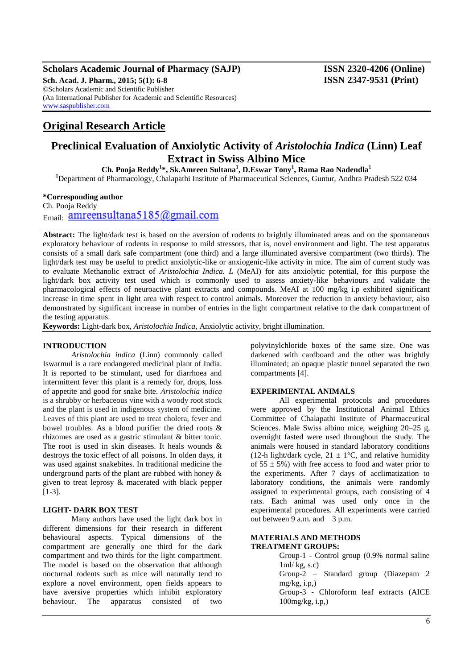## **Scholars Academic Journal of Pharmacy (SAJP) ISSN 2320-4206 (Online) Sch. Acad. J. Pharm., 2015; 5(1): 6-8 ISSN 2347-9531 (Print)**

©Scholars Academic and Scientific Publisher (An International Publisher for Academic and Scientific Resources) [www.saspublisher.com](http://www.saspublisher.com/)

# **Original Research Article**

# **Preclinical Evaluation of Anxiolytic Activity of** *Aristolochia Indica* **(Linn) Leaf Extract in Swiss Albino Mice**

**Ch. Pooja Reddy<sup>1</sup> \*, Sk.Amreen Sultana<sup>1</sup> , D.Eswar Tony<sup>1</sup> , Rama Rao Nadendla<sup>1</sup>**

**<sup>1</sup>**Department of Pharmacology, Chalapathi Institute of Pharmaceutical Sciences, Guntur, Andhra Pradesh 522 034

## **\*Corresponding author**

Ch. Pooja Reddy  $F_{\text{mail}}$  amreensultana5185@gmail.com

**Abstract:** The light/dark test is based on the aversion of rodents to brightly illuminated areas and on the spontaneous exploratory behaviour of rodents in response to mild stressors, that is, novel environment and light. The test apparatus consists of a small dark safe compartment (one third) and a large illuminated aversive compartment (two thirds). The light/dark test may be useful to predict anxiolytic-like or anxiogenic-like activity in mice. The aim of current study was to evaluate Methanolic extract of *Aristolochia Indica. L* (MeAI) for aits anxiolytic potential, for this purpose the light/dark box activity test used which is commonly used to assess anxiety-like behaviours and validate the pharmacological effects of neuroactive plant extracts and compounds. MeAI at 100 mg/kg i.p exhibited significant increase in time spent in light area with respect to control animals. Moreover the reduction in anxiety behaviour, also demonstrated by significant increase in number of entries in the light compartment relative to the dark compartment of the testing apparatus.

**Keywords:** Light-dark box, *Aristolochia Indica,* Anxiolytic activity, bright illumination.

#### **INTRODUCTION**

*Aristolochia indica* (Linn) commonly called Iswarmul is a rare endangered medicinal plant of India. It is reported to be stimulant, used for diarrhoea and intermittent fever this plant is a remedy for, drops, loss of appetite and good for snake bite. *Aristolochia indica*  is a shrubby or herbaceous vine with a woody root stock and the plant is used in indigenous system of medicine. Leaves of this plant are used to treat cholera, fever and bowel troubles. As a blood purifier the dried roots & rhizomes are used as a gastric stimulant & bitter tonic. The root is used in skin diseases. It heals wounds & destroys the toxic effect of all poisons. In olden days, it was used against snakebites. In traditional medicine the underground parts of the plant are rubbed with honey & given to treat leprosy & macerated with black pepper [1-3].

### **LIGHT- DARK BOX TEST**

Many authors have used the light dark box in different dimensions for their research in different behavioural aspects. Typical dimensions of the compartment are generally one third for the dark compartment and two thirds for the light compartment. The model is based on the observation that although nocturnal rodents such as mice will naturally tend to explore a novel environment, open fields appears to have aversive properties which inhibit exploratory behaviour. The apparatus consisted of two

polyvinylchloride boxes of the same size. One was darkened with cardboard and the other was brightly illuminated; an opaque plastic tunnel separated the two compartments [4].

#### **EXPERIMENTAL ANIMALS**

All experimental protocols and procedures were approved by the Institutional Animal Ethics Committee of Chalapathi Institute of Pharmaceutical Sciences. Male Swiss albino mice, weighing 20–25 g, overnight fasted were used throughout the study. The animals were housed in standard laboratory conditions (12-h light/dark cycle,  $21 \pm 1$ °C, and relative humidity of  $55 \pm 5\%$ ) with free access to food and water prior to the experiments. After 7 days of acclimatization to laboratory conditions, the animals were randomly assigned to experimental groups, each consisting of 4 rats. Each animal was used only once in the experimental procedures. All experiments were carried out between 9 a.m. and 3 p.m.

#### **MATERIALS AND METHODS TREATMENT GROUPS:**

Group-1 - Control group (0.9% normal saline 1ml/ kg, s.c) Group-2 – Standard group (Diazepam 2  $mg/kg$ , i.p.) Group-3 - Chloroform leaf extracts (AICE 100mg/kg, i.p,)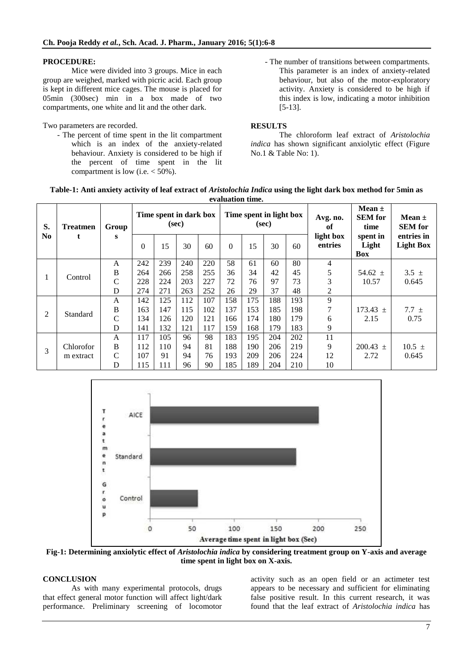## **PROCEDURE:**

Mice were divided into 3 groups. Mice in each group are weighed, marked with picric acid. Each group is kept in different mice cages. The mouse is placed for 05min (300sec) min in a box made of two compartments, one white and lit and the other dark.

Two parameters are recorded.

- The percent of time spent in the lit compartment which is an index of the anxiety-related behaviour. Anxiety is considered to be high if the percent of time spent in the lit compartment is low (i.e.  $<$  50%).
- The number of transitions between compartments. This parameter is an index of anxiety-related behaviour, but also of the motor-exploratory activity. Anxiety is considered to be high if this index is low, indicating a motor inhibition [5-13].

# **RESULTS**

The chloroform leaf extract of *Aristolochia indica* has shown significant anxiolytic effect (Figure No.1 & Table No: 1).

| Table-1: Anti anxiety activity of leaf extract of Aristolochia Indica using the light dark box method for 5min as |
|-------------------------------------------------------------------------------------------------------------------|
| evaluation time.                                                                                                  |

| S.<br>N <sub>0</sub> | <b>Treatmen</b> | Group<br>s    | Time spent in dark box<br>(sec) |     |     |     | Time spent in light box<br>(sec) |     |     |     | Avg. no.<br>of       | Mean $\pm$<br><b>SEM</b> for<br>time | Mean $\pm$<br><b>SEM</b> for   |
|----------------------|-----------------|---------------|---------------------------------|-----|-----|-----|----------------------------------|-----|-----|-----|----------------------|--------------------------------------|--------------------------------|
|                      |                 |               | $\theta$                        | 15  | 30  | 60  | $\theta$                         | 15  | 30  | 60  | light box<br>entries | spent in<br>Light<br><b>Box</b>      | entries in<br><b>Light Box</b> |
| 1                    | Control         | A             | 242                             | 239 | 240 | 220 | 58                               | 61  | 60  | 80  | 4                    |                                      |                                |
|                      |                 | B             | 264                             | 266 | 258 | 255 | 36                               | 34  | 42  | 45  | 5                    | 54.62 $\pm$                          | $3.5 \pm$                      |
|                      |                 | $\mathbf C$   | 228                             | 224 | 203 | 227 | 72                               | 76  | 97  | 73  | 3                    | 10.57                                | 0.645                          |
|                      |                 | D             | 274                             | 271 | 263 | 252 | 26                               | 29  | 37  | 48  | $\overline{c}$       |                                      |                                |
| $\overline{2}$       | Standard        | A             | 142                             | 125 | 112 | 107 | 158                              | 175 | 188 | 193 | 9                    |                                      |                                |
|                      |                 | B             | 163                             | 147 | 115 | 102 | 137                              | 153 | 185 | 198 | 7                    | $173.43 \pm$                         | $7.7 \pm$                      |
|                      |                 | $\mathcal{C}$ | 134                             | 126 | 120 | 121 | 166                              | 174 | 180 | 179 | 6                    | 2.15                                 | 0.75                           |
|                      |                 | D             | 141                             | 132 | 121 | 117 | 159                              | 168 | 179 | 183 | 9                    |                                      |                                |
| 3                    |                 | A             | 117                             | 105 | 96  | 98  | 183                              | 195 | 204 | 202 | 11                   |                                      |                                |
|                      | Chlorofor       | B             | 112                             | 110 | 94  | 81  | 188                              | 190 | 206 | 219 | 9                    | $200.43 \pm$                         | 10.5 $\pm$                     |
|                      | m extract       | C             | 107                             | 91  | 94  | 76  | 193                              | 209 | 206 | 224 | 12                   | 2.72                                 | 0.645                          |
|                      |                 | D             | 115                             | 111 | 96  | 90  | 185                              | 189 | 204 | 210 | 10                   |                                      |                                |



**Fig-1: Determining anxiolytic effect of** *Aristolochia indica* **by considering treatment group on Y-axis and average time spent in light box on X-axis.**

### **CONCLUSION**

As with many experimental protocols, drugs that effect general motor function will affect light/dark performance. Preliminary screening of locomotor

activity such as an open field or an actimeter test appears to be necessary and sufficient for eliminating false positive result. In this current research, it was found that the leaf extract of *Aristolochia indica* has